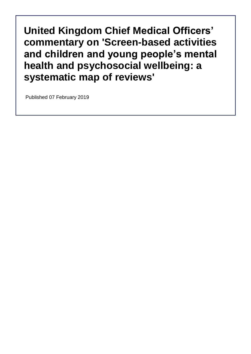Published 07 February 2019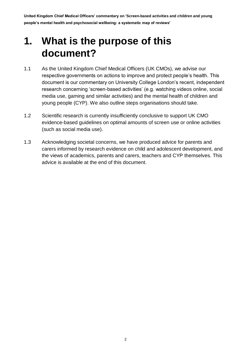## **1. What is the purpose of this document?**

- 1.1 As the United Kingdom Chief Medical Officers (UK CMOs), we advise our respective governments on actions to improve and protect people's health. This document is our commentary on University College London's recent, independent research concerning 'screen-based activities' (e.g. watching videos online, social media use, gaming and similar activities) and the mental health of children and young people (CYP). We also outline steps organisations should take.
- 1.2 Scientific research is currently insufficiently conclusive to support UK CMO evidence-based guidelines on optimal amounts of screen use or online activities (such as social media use).
- 1.3 Acknowledging societal concerns, we have produced advice for parents and carers informed by research evidence on child and adolescent development, and the views of academics, parents and carers, teachers and CYP themselves. This advice is available at the end of this document.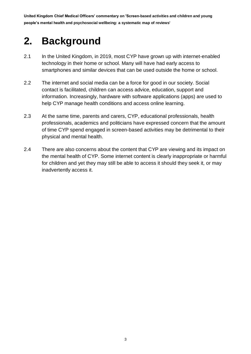# **2. Background**

- 2.1 In the United Kingdom, in 2019, most CYP have grown up with internet-enabled technology in their home or school. Many will have had early access to smartphones and similar devices that can be used outside the home or school.
- 2.2 The internet and social media can be a force for good in our society. Social contact is facilitated, children can access advice, education, support and information. Increasingly, hardware with software applications (apps) are used to help CYP manage health conditions and access online learning.
- 2.3 At the same time, parents and carers, CYP, educational professionals, health professionals, academics and politicians have expressed concern that the amount of time CYP spend engaged in screen-based activities may be detrimental to their physical and mental health.
- 2.4 There are also concerns about the content that CYP are viewing and its impact on the mental health of CYP. Some internet content is clearly inappropriate or harmful for children and yet they may still be able to access it should they seek it, or may inadvertently access it.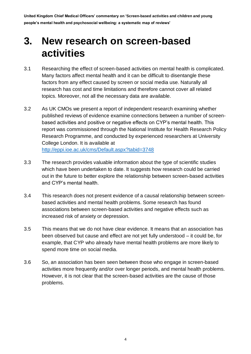### **3. New research on screen-based activities**

- 3.1 Researching the effect of screen-based activities on mental health is complicated. Many factors affect mental health and it can be difficult to disentangle these factors from any effect caused by screen or social media use. Naturally all research has cost and time limitations and therefore cannot cover all related topics. Moreover, not all the necessary data are available.
- 3.2 As UK CMOs we present a report of independent research examining whether published reviews of evidence examine connections between a number of screenbased activities and positive or negative effects on CYP's mental health. This report was commissioned through the National Institute for Health Research Policy Research Programme, and conducted by experienced researchers at University College London. It is available at <http://eppi.ioe.ac.uk/cms/Default.aspx?tabid=3748>
- 3.3 The research provides valuable information about the type of scientific studies which have been undertaken to date. It suggests how research could be carried out in the future to better explore the relationship between screen-based activities and CYP's mental health.
- 3.4 This research does not present evidence of a causal relationship between screenbased activities and mental health problems. Some research has found associations between screen-based activities and negative effects such as increased risk of anxiety or depression.
- 3.5 This means that we do not have clear evidence. It means that an association has been observed but cause and effect are not yet fully understood – it could be, for example, that CYP who already have mental health problems are more likely to spend more time on social media.
- 3.6 So, an association has been seen between those who engage in screen-based activities more frequently and/or over longer periods, and mental health problems. However, it is not clear that the screen-based activities are the cause of those problems.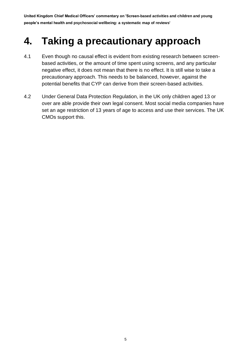### **4. Taking a precautionary approach**

- 4.1 Even though no causal effect is evident from existing research between screenbased activities, or the amount of time spent using screens, and any particular negative effect, it does not mean that there is no effect. It is still wise to take a precautionary approach. This needs to be balanced, however, against the potential benefits that CYP can derive from their screen-based activities.
- 4.2 Under General Data Protection Regulation, in the UK only children aged 13 or over are able provide their own legal consent. Most social media companies have set an age restriction of 13 years of age to access and use their services. The UK CMOs support this.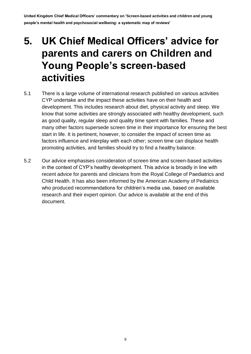## **5. UK Chief Medical Officers' advice for parents and carers on Children and Young People's screen-based activities**

- 5.1 There is a large volume of international research published on various activities CYP undertake and the impact these activities have on their health and development. This includes research about diet, physical activity and sleep. We know that some activities are strongly associated with healthy development, such as good quality, regular sleep and quality time spent with families. These and many other factors supersede screen time in their importance for ensuring the best start in life. It is pertinent, however, to consider the impact of screen time as factors influence and interplay with each other; screen time can displace health promoting activities, and families should try to find a healthy balance.
- 5.2 Our advice emphasises consideration of screen time and screen-based activities in the context of CYP's healthy development. This advice is broadly in line with recent advice for parents and clinicians from the Royal College of Paediatrics and Child Health. It has also been informed by the American Academy of Pediatrics who produced recommendations for children's media use, based on available research and their expert opinion. Our advice is available at the end of this document.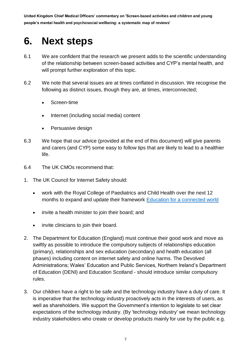### **6. Next steps**

- 6.1 We are confident that the research we present adds to the scientific understanding of the relationship between screen-based activities and CYP's mental health, and will prompt further exploration of this topic.
- 6.2 We note that several issues are at times conflated in discussion. We recognise the following as distinct issues, though they are, at times, interconnected;
	- Screen-time
	- Internet (including social media) content
	- Persuasive design
- 6.3 We hope that our advice (provided at the end of this document) will give parents and carers (and CYP) some easy to follow tips that are likely to lead to a healthier life.
- 6.4 The UK CMOs recommend that:
- 1. The UK Council for Internet Safety should:
	- work with the Royal College of Paediatrics and Child Health over the next 12 months to expand and update their framework [Education for a connected world](https://www.gov.uk/government/publications/education-for-a-connected-world)
	- invite a health minister to join their board; and
	- invite clinicians to join their board.
- 2. The Department for Education (England) must continue their good work and move as swiftly as possible to introduce the compulsory subjects of relationships education (primary), relationships and sex education (secondary) and health education (all phases) including content on internet safety and online harms. The Devolved Administrations; Wales' Education and Public Services, Northern Ireland's Department of Education (DENI) and Education Scotland - should introduce similar compulsory rules.
- 3. Our children have a right to be safe and the technology industry have a duty of care. It is imperative that the technology industry proactively acts in the interests of users, as well as shareholders. We support the Government's intention to legislate to set clear expectations of the technology industry. (By 'technology industry' we mean technology industry stakeholders who create or develop products mainly for use by the public e.g.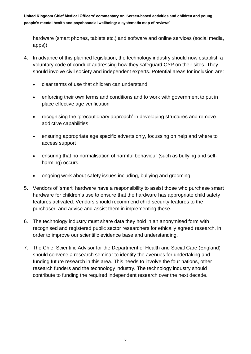hardware (smart phones, tablets etc.) and software and online services (social media, apps)).

- 4. In advance of this planned legislation, the technology industry should now establish a voluntary code of conduct addressing how they safeguard CYP on their sites. They should involve civil society and independent experts. Potential areas for inclusion are:
	- clear terms of use that children can understand
	- enforcing their own terms and conditions and to work with government to put in place effective age verification
	- recognising the 'precautionary approach' in developing structures and remove addictive capabilities
	- ensuring appropriate age specific adverts only, focussing on help and where to access support
	- ensuring that no normalisation of harmful behaviour (such as bullying and selfharming) occurs.
	- ongoing work about safety issues including, bullying and grooming.
- 5. Vendors of 'smart' hardware have a responsibility to assist those who purchase smart hardware for children's use to ensure that the hardware has appropriate child safety features activated. Vendors should recommend child security features to the purchaser, and advise and assist them in implementing these.
- 6. The technology industry must share data they hold in an anonymised form with recognised and registered public sector researchers for ethically agreed research, in order to improve our scientific evidence base and understanding.
- 7. The Chief Scientific Advisor for the Department of Health and Social Care (England) should convene a research seminar to identify the avenues for undertaking and funding future research in this area. This needs to involve the four nations, other research funders and the technology industry. The technology industry should contribute to funding the required independent research over the next decade.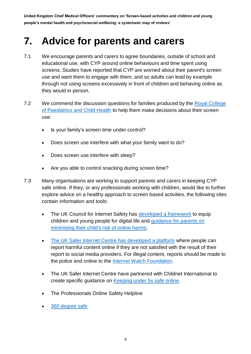## **7. Advice for parents and carers**

- 7.1 We encourage parents and carers to agree boundaries, outside of school and educational use, with CYP around online behaviours and time spent using screens. Studies have reported that CYP are worried about their parent's screen use and want them to engage with them, and so adults can lead by example through not using screens excessively in front of children and behaving online as they would in person.
- 7.2 We commend the discussion questions for families produced by the Royal College [of Paediatrics and Child Health](https://www.rcpch.ac.uk/sites/default/files/2018-12/rcpch_screen_time_guide_-_final.pdf) to help them make decisions about their screen use:
	- Is your family's screen time under control?
	- Does screen use interfere with what your family want to do?
	- Does screen use interfere with sleep?
	- Are you able to control snacking during screen time?
- 7.3 Many organisations are working to support parents and carers in keeping CYP safe online. If they, or any professionals working with children, would like to further explore advice on a healthy approach to screen based activities, the following sites contain information and tools:
	- The UK Council for Internet Safety has [developed a framework](https://www.gov.uk/government/organisations/uk-council-for-internet-safety) to equip children and young people for digital life and [guidance for parents](https://www.gov.uk/government/publications/child-safety-online-a-practical-guide-for-parents-and-carers) on minimising their child's risk of online harms.
	- [The UK Safer Internet Centre has developed a platform](https://reportharmfulcontent.online/) where people can report harmful content online if they are not satisfied with the result of their report to social media providers. For illegal content, reports should be made to the police and online to the [Internet Watch Foundation.](http://www.iwf.org.uk/)
	- The UK Safer Internet Centre have partnered with Childnet International to create specific guidance on [Keeping under 5s safe online.](https://www.childnet.com/parents-and-carers/hot-topics/keeping-young-children-safe-online)
	- [The Professionals Online Safety Helpline](https://www.saferinternet.org.uk/professionals-online-safety-helpline)
	- [360 degree safe](https://swgfl.org.uk/products-services/online-safety/services/360/?gclid=EAIaIQobChMI1Kmn1qGB4AIVar7tCh0xbw2DEAAYASAAEgKWzPD_BwE)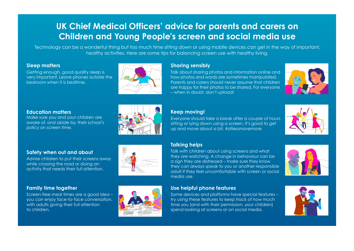### **UK Chief Medical Officers' advice for parents and carers on Children and Young People's screen and social media use**

Technology can be a wonderful thing but too much time sitting down or using mobile devices can get in the way of important, healthy activities. Here are some tips for balancing screen use with healthy living.

#### **Sleep matters**

Getting enough, good quality sleep is very important. Leave phones outside the bedroom when it is bedtime.



#### **Sharing sensibly**

Talk about sharing photos and information online and how photos and words are sometimes manipulated. Parents and carers should never assume that children are happy for their photos to be shared. For everyone – when in doubt, don't upload!



#### **Education matters**

Make sure you and your children are aware of, and abide by, their school's policy on screen time.

#### **Safety when out and about**

Advise children to put their screens away while crossing the road or doing an activity that needs their full attention.

#### **Family time together**

Screen-free meal times are a good idea – you can enjoy face-to-face conversation, with adults giving their full attention to children.



#### **Keep moving!**

Everyone should take a break after a couple of hours sitting or lying down using a screen. It's good to get up and move about a bit. #sitlessmovemore



### **Talking helps**

Talk with children about using screens and what they are watching. A change in behaviour can be a sign they are distressed – make sure they know they can always speak to you or another responsible adult if they feel uncomfortable with screen or social media use.



#### **Use helpful phone features**

Some devices and platforms have special features – try using these features to keep track of how much time you (and with their permission, your children) spend looking at screens or on social media.